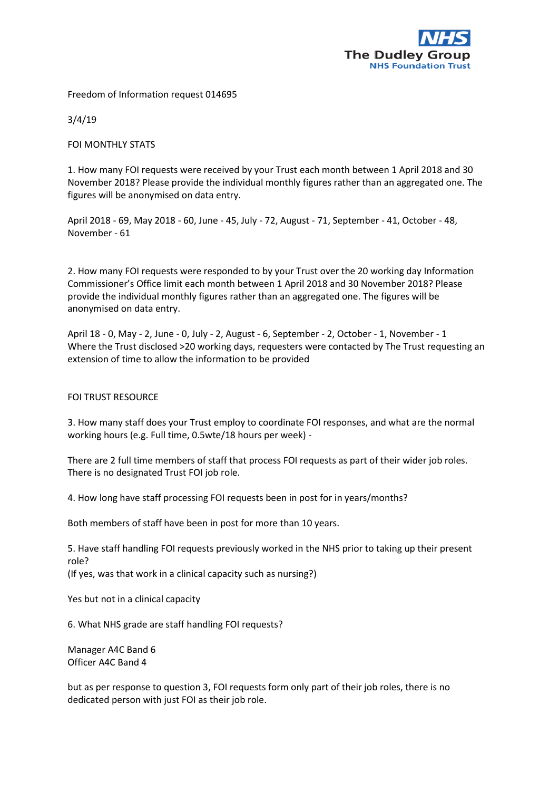

Freedom of Information request 014695

3/4/19

FOI MONTHLY STATS

1. How many FOI requests were received by your Trust each month between 1 April 2018 and 30 November 2018? Please provide the individual monthly figures rather than an aggregated one. The figures will be anonymised on data entry.

April 2018 - 69, May 2018 - 60, June - 45, July - 72, August - 71, September - 41, October - 48, November - 61

2. How many FOI requests were responded to by your Trust over the 20 working day Information Commissioner's Office limit each month between 1 April 2018 and 30 November 2018? Please provide the individual monthly figures rather than an aggregated one. The figures will be anonymised on data entry.

April 18 - 0, May - 2, June - 0, July - 2, August - 6, September - 2, October - 1, November - 1 Where the Trust disclosed >20 working days, requesters were contacted by The Trust requesting an extension of time to allow the information to be provided

## FOI TRUST RESOURCE

3. How many staff does your Trust employ to coordinate FOI responses, and what are the normal working hours (e.g. Full time, 0.5wte/18 hours per week) -

There are 2 full time members of staff that process FOI requests as part of their wider job roles. There is no designated Trust FOI job role.

4. How long have staff processing FOI requests been in post for in years/months?

Both members of staff have been in post for more than 10 years.

5. Have staff handling FOI requests previously worked in the NHS prior to taking up their present role?

(If yes, was that work in a clinical capacity such as nursing?)

Yes but not in a clinical capacity

6. What NHS grade are staff handling FOI requests?

Manager A4C Band 6 Officer A4C Band 4

but as per response to question 3, FOI requests form only part of their job roles, there is no dedicated person with just FOI as their job role.